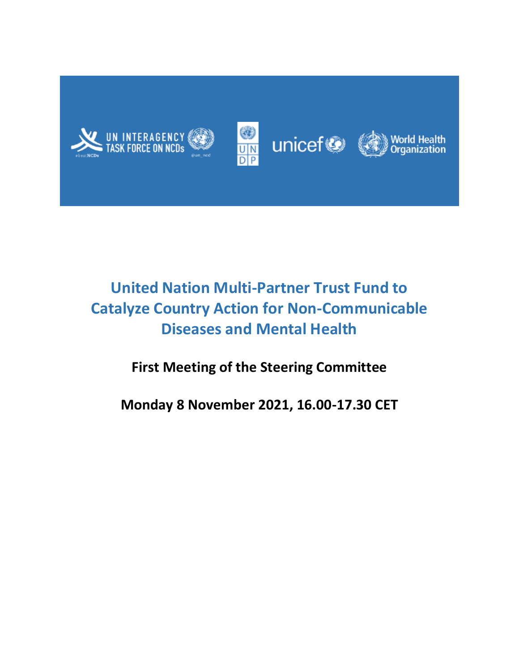







# **United Nation Multi-Partner Trust Fund to Catalyze Country Action for Non-Communicable Diseases and Mental Health**

## **First Meeting of the Steering Committee**

**Monday 8 November 2021, 16.00-17.30 CET**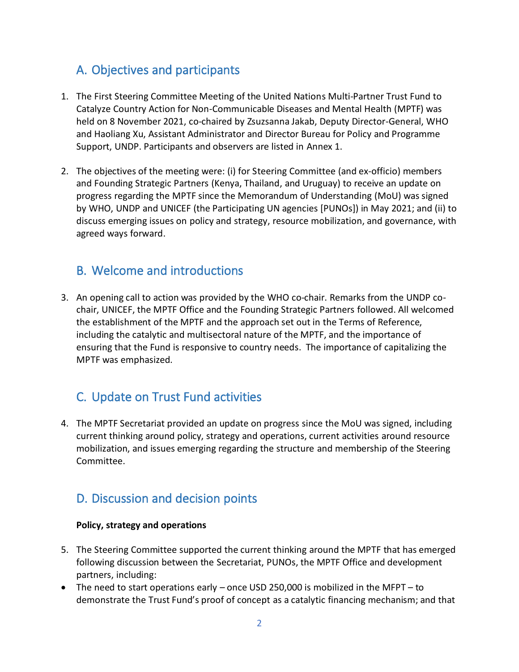## A. Objectives and participants

- 1. The First Steering Committee Meeting of the United Nations Multi-Partner Trust Fund to Catalyze Country Action for Non-Communicable Diseases and Mental Health (MPTF) was held on 8 November 2021, co-chaired by Zsuzsanna Jakab, Deputy Director-General, WHO and Haoliang Xu, Assistant Administrator and Director Bureau for Policy and Programme Support, UNDP. Participants and observers are listed in Annex 1.
- 2. The objectives of the meeting were: (i) for Steering Committee (and ex-officio) members and Founding Strategic Partners (Kenya, Thailand, and Uruguay) to receive an update on progress regarding the MPTF since the Memorandum of Understanding (MoU) was signed by WHO, UNDP and UNICEF (the Participating UN agencies [PUNOs]) in May 2021; and (ii) to discuss emerging issues on policy and strategy, resource mobilization, and governance, with agreed ways forward.

## B. Welcome and introductions

3. An opening call to action was provided by the WHO co-chair. Remarks from the UNDP cochair, UNICEF, the MPTF Office and the Founding Strategic Partners followed. All welcomed the establishment of the MPTF and the approach set out in the Terms of Reference, including the catalytic and multisectoral nature of the MPTF, and the importance of ensuring that the Fund is responsive to country needs. The importance of capitalizing the MPTF was emphasized.

## C. Update on Trust Fund activities

4. The MPTF Secretariat provided an update on progress since the MoU was signed, including current thinking around policy, strategy and operations, current activities around resource mobilization, and issues emerging regarding the structure and membership of the Steering Committee.

## D. Discussion and decision points

## **Policy, strategy and operations**

- 5. The Steering Committee supported the current thinking around the MPTF that has emerged following discussion between the Secretariat, PUNOs, the MPTF Office and development partners, including:
- The need to start operations early once USD 250,000 is mobilized in the MFPT to demonstrate the Trust Fund's proof of concept as a catalytic financing mechanism; and that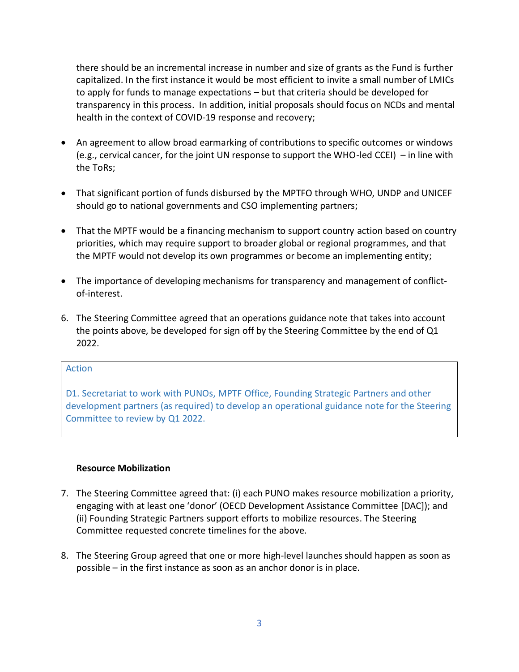there should be an incremental increase in number and size of grants as the Fund is further capitalized. In the first instance it would be most efficient to invite a small number of LMICs to apply for funds to manage expectations – but that criteria should be developed for transparency in this process. In addition, initial proposals should focus on NCDs and mental health in the context of COVID-19 response and recovery;

- An agreement to allow broad earmarking of contributions to specific outcomes or windows (e.g., cervical cancer, for the joint UN response to support the WHO-led CCEI) – in line with the ToRs;
- That significant portion of funds disbursed by the MPTFO through WHO, UNDP and UNICEF should go to national governments and CSO implementing partners;
- That the MPTF would be a financing mechanism to support country action based on country priorities, which may require support to broader global or regional programmes, and that the MPTF would not develop its own programmes or become an implementing entity;
- The importance of developing mechanisms for transparency and management of conflictof-interest.
- 6. The Steering Committee agreed that an operations guidance note that takes into account the points above, be developed for sign off by the Steering Committee by the end of Q1 2022.

### Action

D1. Secretariat to work with PUNOs, MPTF Office, Founding Strategic Partners and other development partners (as required) to develop an operational guidance note for the Steering Committee to review by Q1 2022.

## **Resource Mobilization**

- 7. The Steering Committee agreed that: (i) each PUNO makes resource mobilization a priority, engaging with at least one 'donor' (OECD Development Assistance Committee [DAC]); and (ii) Founding Strategic Partners support efforts to mobilize resources. The Steering Committee requested concrete timelines for the above.
- 8. The Steering Group agreed that one or more high-level launches should happen as soon as possible – in the first instance as soon as an anchor donor is in place.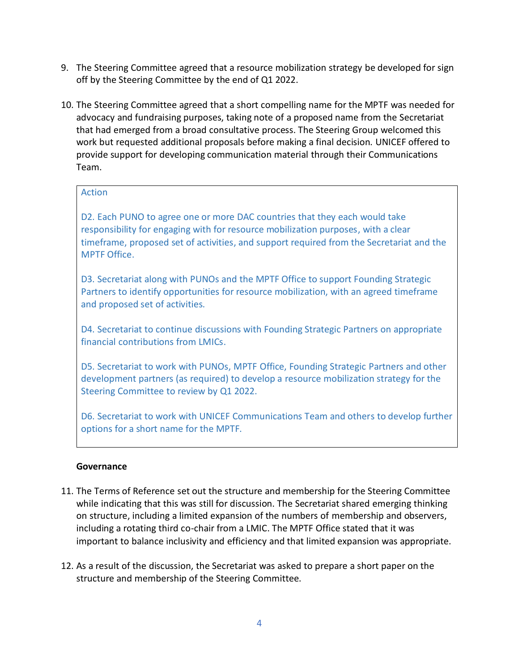- 9. The Steering Committee agreed that a resource mobilization strategy be developed for sign off by the Steering Committee by the end of Q1 2022.
- 10. The Steering Committee agreed that a short compelling name for the MPTF was needed for advocacy and fundraising purposes, taking note of a proposed name from the Secretariat that had emerged from a broad consultative process. The Steering Group welcomed this work but requested additional proposals before making a final decision. UNICEF offered to provide support for developing communication material through their Communications Team.

## Action

D2. Each PUNO to agree one or more DAC countries that they each would take responsibility for engaging with for resource mobilization purposes, with a clear timeframe, proposed set of activities, and support required from the Secretariat and the MPTF Office.

D3. Secretariat along with PUNOs and the MPTF Office to support Founding Strategic Partners to identify opportunities for resource mobilization, with an agreed timeframe and proposed set of activities.

D4. Secretariat to continue discussions with Founding Strategic Partners on appropriate financial contributions from LMICs.

D5. Secretariat to work with PUNOs, MPTF Office, Founding Strategic Partners and other development partners (as required) to develop a resource mobilization strategy for the Steering Committee to review by Q1 2022.

D6. Secretariat to work with UNICEF Communications Team and others to develop further options for a short name for the MPTF.

## **Governance**

- 11. The Terms of Reference set out the structure and membership for the Steering Committee while indicating that this was still for discussion. The Secretariat shared emerging thinking on structure, including a limited expansion of the numbers of membership and observers, including a rotating third co-chair from a LMIC. The MPTF Office stated that it was important to balance inclusivity and efficiency and that limited expansion was appropriate.
- 12. As a result of the discussion, the Secretariat was asked to prepare a short paper on the structure and membership of the Steering Committee.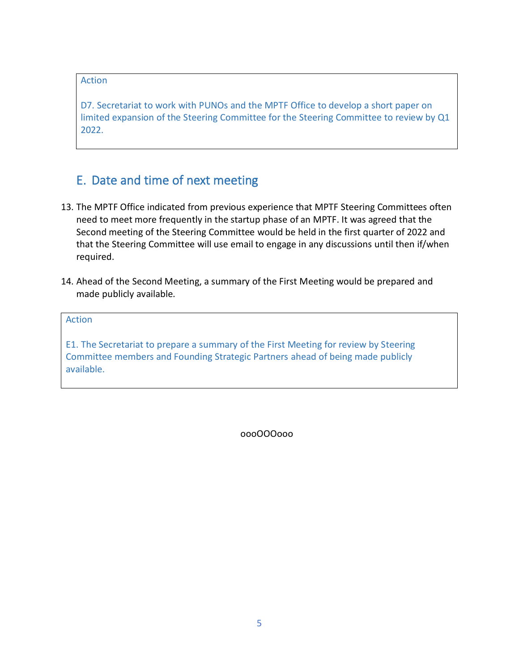## Action

D7. Secretariat to work with PUNOs and the MPTF Office to develop a short paper on limited expansion of the Steering Committee for the Steering Committee to review by Q1 2022.

## E. Date and time of next meeting

- 13. The MPTF Office indicated from previous experience that MPTF Steering Committees often need to meet more frequently in the startup phase of an MPTF. It was agreed that the Second meeting of the Steering Committee would be held in the first quarter of 2022 and that the Steering Committee will use email to engage in any discussions until then if/when required.
- 14. Ahead of the Second Meeting, a summary of the First Meeting would be prepared and made publicly available.

Action

E1. The Secretariat to prepare a summary of the First Meeting for review by Steering Committee members and Founding Strategic Partners ahead of being made publicly available.

oooOOOooo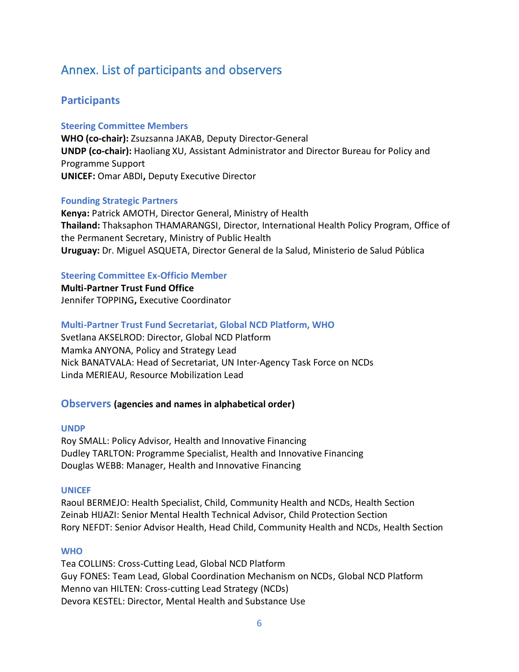## Annex. List of participants and observers

## **Participants**

### **Steering Committee Members**

**WHO (co-chair):** Zsuzsanna JAKAB, Deputy Director-General **UNDP (co-chair):** Haoliang XU, Assistant Administrator and Director Bureau for Policy and Programme Support **UNICEF:** Omar ABDI**,** Deputy Executive Director

### **Founding Strategic Partners**

**Kenya:** Patrick AMOTH, Director General, Ministry of Health **Thailand:** Thaksaphon THAMARANGSI, Director, International Health Policy Program, Office of the Permanent Secretary, Ministry of Public Health **Uruguay:** Dr. Miguel ASQUETA, Director General de la Salud, Ministerio de Salud Pública

## **Steering Committee Ex-Officio Member**

**Multi-Partner Trust Fund Office** Jennifer TOPPING**,** Executive Coordinator

## **Multi-Partner Trust Fund Secretariat, Global NCD Platform, WHO**

Svetlana AKSELROD: Director, Global NCD Platform Mamka ANYONA, Policy and Strategy Lead Nick BANATVALA: Head of Secretariat, UN Inter-Agency Task Force on NCDs Linda MERIEAU, Resource Mobilization Lead

## **Observers (agencies and names in alphabetical order)**

### **UNDP**

Roy SMALL: Policy Advisor, Health and Innovative Financing Dudley TARLTON: Programme Specialist, Health and Innovative Financing Douglas WEBB: Manager, Health and Innovative Financing

### **UNICEF**

Raoul BERMEJO: Health Specialist, Child, Community Health and NCDs, Health Section Zeinab HIJAZI: Senior Mental Health Technical Advisor, Child Protection Section Rory NEFDT: Senior Advisor Health, Head Child, Community Health and NCDs, Health Section

## **WHO**

Tea COLLINS: Cross-Cutting Lead, Global NCD Platform Guy FONES: Team Lead, Global Coordination Mechanism on NCDs, Global NCD Platform Menno van HILTEN: Cross-cutting Lead Strategy (NCDs) Devora KESTEL: Director, Mental Health and Substance Use